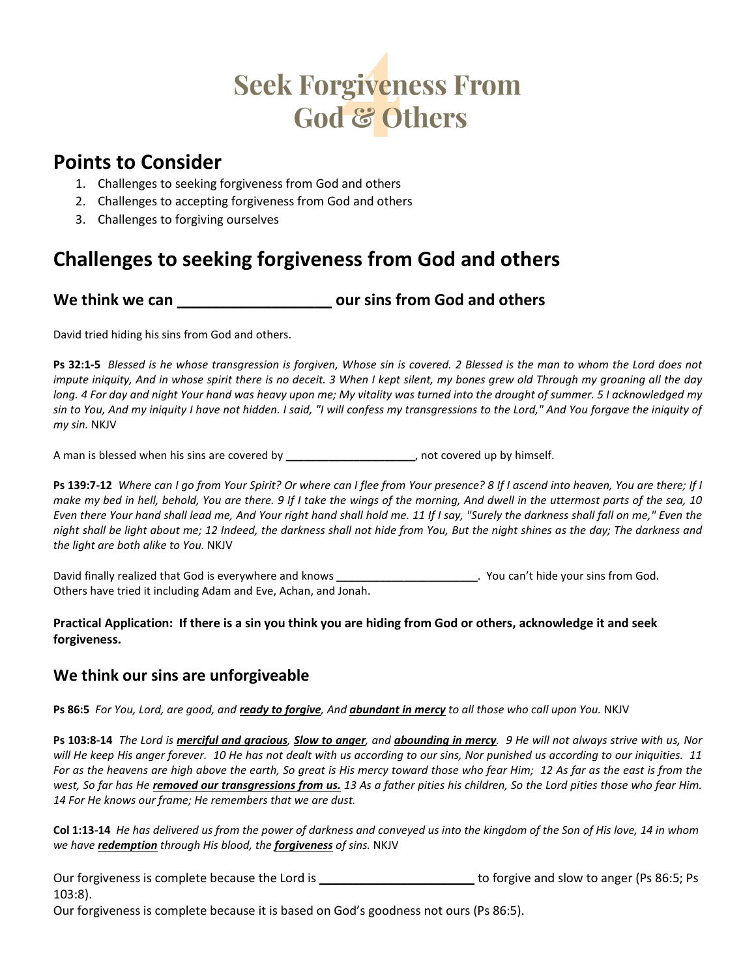# **Seek Forgiveness From** God & Others

## **Points to Consider**

- 1. Challenges to seeking forgiveness from God and others
- 2. Challenges to accepting forgiveness from God and others
- 3. Challenges to forgiving ourselves

# **Challenges to seeking forgiveness from God and others**

## **We think we can \_\_\_\_\_\_\_\_\_\_\_\_\_\_\_\_\_\_ our sins from God and others**

David tried hiding his sins from God and others.

**Ps 32:1-5** *Blessed is he whose transgression is forgiven, Whose sin is covered. 2 Blessed is the man to whom the Lord does not impute iniquity, And in whose spirit there is no deceit. 3 When I kept silent, my bones grew old Through my groaning all the day long. 4 For day and night Your hand was heavy upon me; My vitality was turned into the drought of summer. 5 I acknowledged my sin to You, And my iniquity I have not hidden. I said, "I will confess my transgressions to the Lord," And You forgave the iniquity of my sin.* NKJV

A man is blessed when his sins are covered by **\_\_\_\_\_\_\_\_\_\_\_\_\_\_\_\_\_\_\_\_\_**, not covered up by himself.

**Ps 139:7-12** *Where can I go from Your Spirit? Or where can I flee from Your presence? 8 If I ascend into heaven, You are there; If I make my bed in hell, behold, You are there. 9 If I take the wings of the morning, And dwell in the uttermost parts of the sea, 10 Even there Your hand shall lead me, And Your right hand shall hold me. 11 If I say, "Surely the darkness shall fall on me," Even the night shall be light about me; 12 Indeed, the darkness shall not hide from You, But the night shines as the day; The darkness and the light are both alike to You.* NKJV

David finally realized that God is everywhere and knows **\_\_\_\_\_\_\_\_\_\_\_\_\_\_\_\_\_\_\_\_\_\_\_**. You can't hide your sins from God. Others have tried it including Adam and Eve, Achan, and Jonah.

#### **Practical Application: If there is a sin you think you are hiding from God or others, acknowledge it and seek forgiveness.**

### **We think our sins are unforgiveable**

**Ps 86:5** *For You, Lord, are good, and ready to forgive, And abundant in mercy to all those who call upon You.* NKJV

**Ps 103:8-14** *The Lord is merciful and gracious, Slow to anger, and abounding in mercy. 9 He will not always strive with us, Nor will He keep His anger forever. 10 He has not dealt with us according to our sins, Nor punished us according to our iniquities. 11 For as the heavens are high above the earth, So great is His mercy toward those who fear Him; 12 As far as the east is from the west, So far has He removed our transgressions from us. 13 As a father pities his children, So the Lord pities those who fear Him. 14 For He knows our frame; He remembers that we are dust.*

**Col 1:13-14** *He has delivered us from the power of darkness and conveyed us into the kingdom of the Son of His love, 14 in whom we have redemption through His blood, the forgiveness of sins.* NKJV

Our forgiveness is complete because the Lord is **\_\_\_\_\_\_\_\_\_\_\_\_\_\_\_\_\_\_\_\_\_\_\_** to forgive and slow to anger (Ps 86:5; Ps 103:8).

Our forgiveness is complete because it is based on God's goodness not ours (Ps 86:5).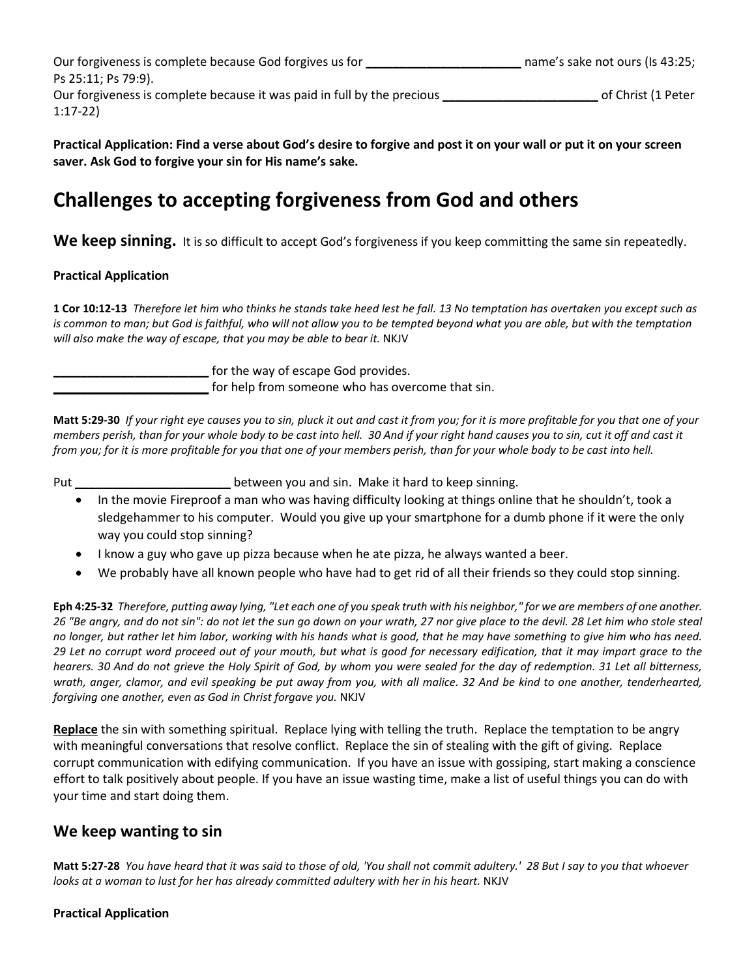Our forgiveness is complete because God forgives us for **which is a consent of the consent of the consent of the consent of the consent of the consent of the consent of the consent of the consent of the consent of the cons** Ps 25:11; Ps 79:9). Our forgiveness is complete because it was paid in full by the precious **\_\_\_\_\_\_\_\_\_\_\_\_\_\_\_\_\_\_\_\_\_\_\_** of Christ (1 Peter 1:17-22)

**Practical Application: Find a verse about God's desire to forgive and post it on your wall or put it on your screen saver. Ask God to forgive your sin for His name's sake.**

# **Challenges to accepting forgiveness from God and others**

**We keep sinning.** It is so difficult to accept God's forgiveness if you keep committing the same sin repeatedly.

#### **Practical Application**

**1 Cor 10:12-13** *Therefore let him who thinks he stands take heed lest he fall. 13 No temptation has overtaken you except such as is common to man; but God is faithful, who will not allow you to be tempted beyond what you are able, but with the temptation will also make the way of escape, that you may be able to bear it.* NKJV

**\_\_\_\_\_\_\_\_\_\_\_\_\_\_\_\_\_\_\_\_\_\_\_** for the way of escape God provides.

**EXECUTE:** for help from someone who has overcome that sin.

**Matt 5:29-30** *If your right eye causes you to sin, pluck it out and cast it from you; for it is more profitable for you that one of your members perish, than for your whole body to be cast into hell. 30 And if your right hand causes you to sin, cut it off and cast it from you; for it is more profitable for you that one of your members perish, than for your whole body to be cast into hell.*

Put **\_\_\_\_\_\_\_\_\_\_\_\_\_\_\_\_\_\_\_\_\_\_\_** between you and sin. Make it hard to keep sinning.

- In the movie Fireproof a man who was having difficulty looking at things online that he shouldn't, took a sledgehammer to his computer. Would you give up your smartphone for a dumb phone if it were the only way you could stop sinning?
- I know a guy who gave up pizza because when he ate pizza, he always wanted a beer.
- We probably have all known people who have had to get rid of all their friends so they could stop sinning.

**Eph 4:25-32** *Therefore, putting away lying, "Let each one of you speak truth with his neighbor," for we are members of one another. 26 "Be angry, and do not sin": do not let the sun go down on your wrath, 27 nor give place to the devil. 28 Let him who stole steal no longer, but rather let him labor, working with his hands what is good, that he may have something to give him who has need. 29 Let no corrupt word proceed out of your mouth, but what is good for necessary edification, that it may impart grace to the hearers. 30 And do not grieve the Holy Spirit of God, by whom you were sealed for the day of redemption. 31 Let all bitterness, wrath, anger, clamor, and evil speaking be put away from you, with all malice. 32 And be kind to one another, tenderhearted, forgiving one another, even as God in Christ forgave you.* NKJV

**Replace** the sin with something spiritual. Replace lying with telling the truth. Replace the temptation to be angry with meaningful conversations that resolve conflict. Replace the sin of stealing with the gift of giving. Replace corrupt communication with edifying communication. If you have an issue with gossiping, start making a conscience effort to talk positively about people. If you have an issue wasting time, make a list of useful things you can do with your time and start doing them.

#### **We keep wanting to sin**

**Matt 5:27-28** *You have heard that it was said to those of old, 'You shall not commit adultery.' 28 But I say to you that whoever*  looks at a woman to lust for her has already committed adultery with her in his heart. NKJV

#### **Practical Application**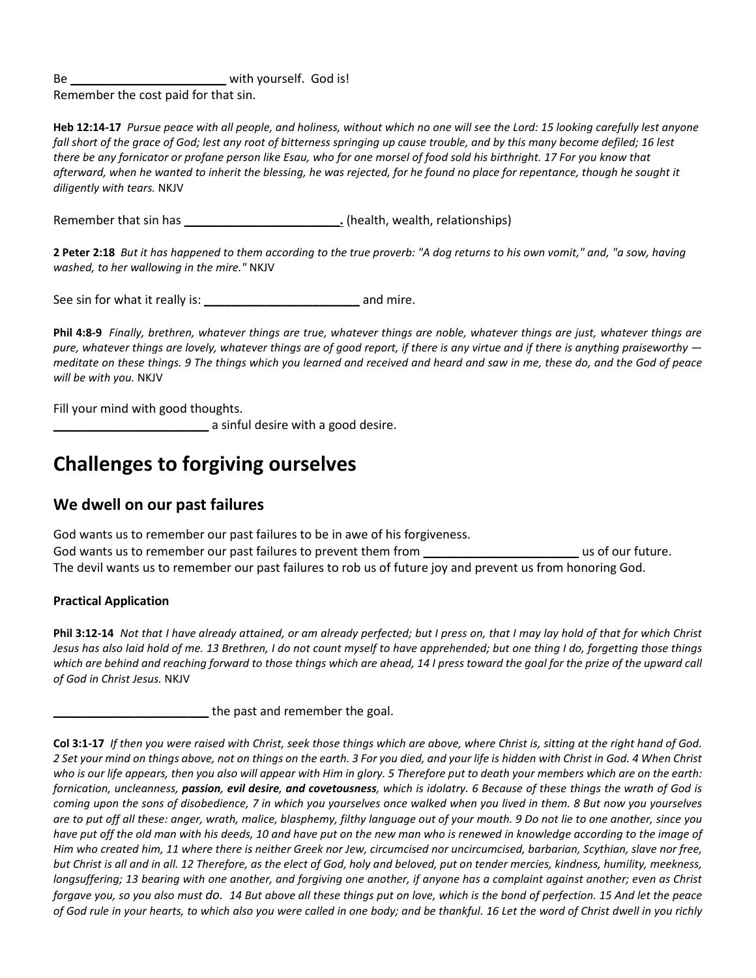Be **Be a E E With yourself.** God is! Remember the cost paid for that sin.

**Heb 12:14-17** *Pursue peace with all people, and holiness, without which no one will see the Lord: 15 looking carefully lest anyone fall short of the grace of God; lest any root of bitterness springing up cause trouble, and by this many become defiled; 16 lest there be any fornicator or profane person like Esau, who for one morsel of food sold his birthright. 17 For you know that afterward, when he wanted to inherit the blessing, he was rejected, for he found no place for repentance, though he sought it diligently with tears.* NKJV

Remember that sin has **we are set of the contract of the contract of the contract of the contract of the contract of the contract of the Remember of the contract of the contract of the contract of the contract of the contr** 

**2 Peter 2:18** *But it has happened to them according to the true proverb: "A dog returns to his own vomit," and, "a sow, having washed, to her wallowing in the mire."* NKJV

See sin for what it really is: **\_\_\_\_\_\_\_\_\_\_\_\_\_\_\_\_\_\_\_\_\_\_\_** and mire.

**Phil 4:8-9** *Finally, brethren, whatever things are true, whatever things are noble, whatever things are just, whatever things are pure, whatever things are lovely, whatever things are of good report, if there is any virtue and if there is anything praiseworthy meditate on these things. 9 The things which you learned and received and heard and saw in me, these do, and the God of peace will be with you.* NKJV

Fill your mind with good thoughts.

**\_\_\_\_\_\_\_\_\_\_\_\_\_\_\_\_\_\_\_\_\_\_\_** a sinful desire with a good desire.

## **Challenges to forgiving ourselves**

#### **We dwell on our past failures**

God wants us to remember our past failures to be in awe of his forgiveness. God wants us to remember our past failures to prevent them from *use of our future.* The devil wants us to remember our past failures to rob us of future joy and prevent us from honoring God.

#### **Practical Application**

**Phil 3:12-14** *Not that I have already attained, or am already perfected; but I press on, that I may lay hold of that for which Christ Jesus has also laid hold of me. 13 Brethren, I do not count myself to have apprehended; but one thing I do, forgetting those things which are behind and reaching forward to those things which are ahead, 14 I press toward the goal for the prize of the upward call of God in Christ Jesus.* NKJV

**\_\_\_\_\_\_\_\_\_\_\_\_\_\_\_\_\_\_\_\_\_\_\_** the past and remember the goal.

**Col 3:1-17** *If then you were raised with Christ, seek those things which are above, where Christ is, sitting at the right hand of God. 2 Set your mind on things above, not on things on the earth. 3 For you died, and your life is hidden with Christ in God. 4 When Christ who is our life appears, then you also will appear with Him in glory. 5 Therefore put to death your members which are on the earth: fornication, uncleanness, passion, evil desire, and covetousness, which is idolatry. 6 Because of these things the wrath of God is coming upon the sons of disobedience, 7 in which you yourselves once walked when you lived in them. 8 But now you yourselves are to put off all these: anger, wrath, malice, blasphemy, filthy language out of your mouth. 9 Do not lie to one another, since you*  have put off the old man with his deeds, 10 and have put on the new man who is renewed in knowledge according to the image of *Him who created him, 11 where there is neither Greek nor Jew, circumcised nor uncircumcised, barbarian, Scythian, slave nor free, but Christ is all and in all. 12 Therefore, as the elect of God, holy and beloved, put on tender mercies, kindness, humility, meekness, longsuffering; 13 bearing with one another, and forgiving one another, if anyone has a complaint against another; even as Christ forgave you, so you also must do. 14 But above all these things put on love, which is the bond of perfection. 15 And let the peace of God rule in your hearts, to which also you were called in one body; and be thankful. 16 Let the word of Christ dwell in you richly*